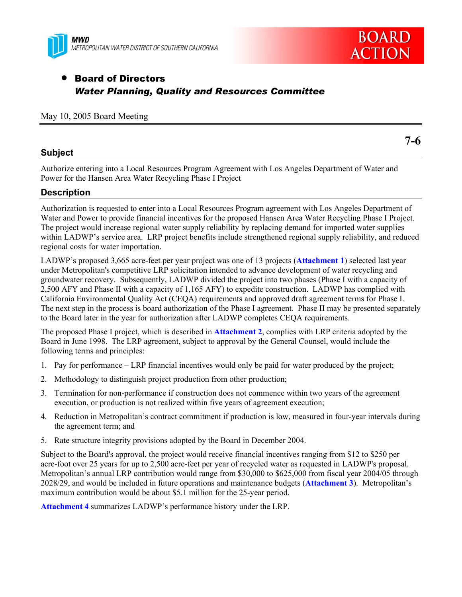



**7-6** 

# • Board of Directors *Water Planning, Quality and Resources Committee*

### May 10, 2005 Board Meeting

### **Subject**

Authorize entering into a Local Resources Program Agreement with Los Angeles Department of Water and Power for the Hansen Area Water Recycling Phase I Project

### **Description**

Authorization is requested to enter into a Local Resources Program agreement with Los Angeles Department of Water and Power to provide financial incentives for the proposed Hansen Area Water Recycling Phase I Project. The project would increase regional water supply reliability by replacing demand for imported water supplies within LADWP's service area. LRP project benefits include strengthened regional supply reliability, and reduced regional costs for water importation.

LADWP's proposed 3,665 acre-feet per year project was one of 13 projects (**Attachment 1**) selected last year under Metropolitan's competitive LRP solicitation intended to advance development of water recycling and groundwater recovery. Subsequently, LADWP divided the project into two phases (Phase I with a capacity of 2,500 AFY and Phase II with a capacity of 1,165 AFY) to expedite construction. LADWP has complied with California Environmental Quality Act (CEQA) requirements and approved draft agreement terms for Phase I. The next step in the process is board authorization of the Phase I agreement. Phase II may be presented separately to the Board later in the year for authorization after LADWP completes CEQA requirements.

The proposed Phase I project, which is described in **Attachment 2**, complies with LRP criteria adopted by the Board in June 1998. The LRP agreement, subject to approval by the General Counsel, would include the following terms and principles:

- 1. Pay for performance LRP financial incentives would only be paid for water produced by the project;
- 2. Methodology to distinguish project production from other production;
- 3. Termination for non-performance if construction does not commence within two years of the agreement execution, or production is not realized within five years of agreement execution;
- 4. Reduction in Metropolitan's contract commitment if production is low, measured in four-year intervals during the agreement term; and
- 5. Rate structure integrity provisions adopted by the Board in December 2004.

Subject to the Board's approval, the project would receive financial incentives ranging from \$12 to \$250 per acre-foot over 25 years for up to 2,500 acre-feet per year of recycled water as requested in LADWP's proposal. Metropolitan's annual LRP contribution would range from \$30,000 to \$625,000 from fiscal year 2004/05 through 2028/29, and would be included in future operations and maintenance budgets (**Attachment 3**). Metropolitan's maximum contribution would be about \$5.1 million for the 25-year period.

**Attachment 4** summarizes LADWP's performance history under the LRP.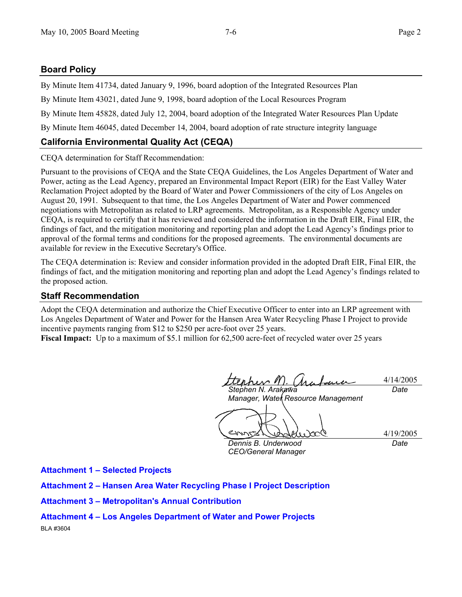## **Board Policy**

By Minute Item 41734, dated January 9, 1996, board adoption of the Integrated Resources Plan

By Minute Item 43021, dated June 9, 1998, board adoption of the Local Resources Program

By Minute Item 45828, dated July 12, 2004, board adoption of the Integrated Water Resources Plan Update

By Minute Item 46045, dated December 14, 2004, board adoption of rate structure integrity language

# **California Environmental Quality Act (CEQA)**

CEQA determination for Staff Recommendation:

Pursuant to the provisions of CEQA and the State CEQA Guidelines, the Los Angeles Department of Water and Power, acting as the Lead Agency, prepared an Environmental Impact Report (EIR) for the East Valley Water Reclamation Project adopted by the Board of Water and Power Commissioners of the city of Los Angeles on August 20, 1991. Subsequent to that time, the Los Angeles Department of Water and Power commenced negotiations with Metropolitan as related to LRP agreements. Metropolitan, as a Responsible Agency under CEQA, is required to certify that it has reviewed and considered the information in the Draft EIR, Final EIR, the findings of fact, and the mitigation monitoring and reporting plan and adopt the Lead Agency's findings prior to approval of the formal terms and conditions for the proposed agreements. The environmental documents are available for review in the Executive Secretary's Office.

The CEQA determination is: Review and consider information provided in the adopted Draft EIR, Final EIR, the findings of fact, and the mitigation monitoring and reporting plan and adopt the Lead Agency's findings related to the proposed action.

## **Staff Recommendation**

Adopt the CEQA determination and authorize the Chief Executive Officer to enter into an LRP agreement with Los Angeles Department of Water and Power for the Hansen Area Water Recycling Phase I Project to provide incentive payments ranging from \$12 to \$250 per acre-foot over 25 years.

**Fiscal Impact:** Up to a maximum of \$5.1 million for 62,500 acre-feet of recycled water over 25 years

her M 4/14/2005 *Stephen N. Arakawa Date* 

*Manager, Watek Resource Management* 

4/19/2005

*Dennis B. Underwood CEO/General Manager*  *Date* 

**Attachment 1 – Selected Projects** 

**Attachment 2 – Hansen Area Water Recycling Phase I Project Description** 

**Attachment 3 – Metropolitan's Annual Contribution** 

**Attachment 4 – Los Angeles Department of Water and Power Projects** 

BLA #3604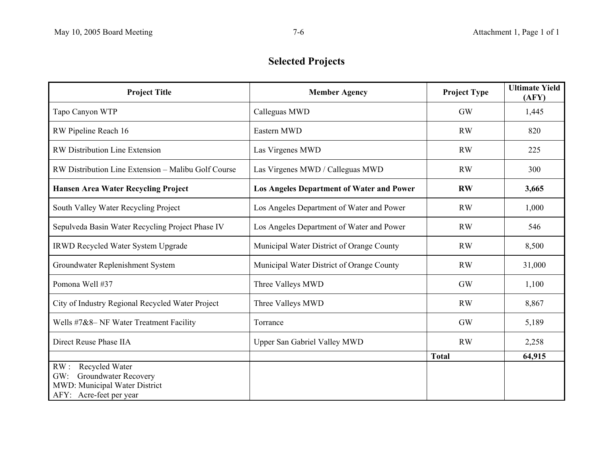# **Selected Projects**

| <b>Project Title</b>                                     | <b>Member Agency</b>                             | <b>Project Type</b> | <b>Ultimate Yield</b><br>(AFY) |  |
|----------------------------------------------------------|--------------------------------------------------|---------------------|--------------------------------|--|
| Tapo Canyon WTP                                          | Calleguas MWD                                    | <b>GW</b>           | 1,445                          |  |
| RW Pipeline Reach 16                                     | Eastern MWD                                      | <b>RW</b>           | 820                            |  |
| <b>RW Distribution Line Extension</b>                    | Las Virgenes MWD                                 | <b>RW</b>           | 225                            |  |
| RW Distribution Line Extension - Malibu Golf Course      | Las Virgenes MWD / Calleguas MWD                 | <b>RW</b>           | 300                            |  |
| <b>Hansen Area Water Recycling Project</b>               | <b>Los Angeles Department of Water and Power</b> | <b>RW</b>           | 3,665                          |  |
| South Valley Water Recycling Project                     | Los Angeles Department of Water and Power        | <b>RW</b>           | 1,000                          |  |
| Sepulveda Basin Water Recycling Project Phase IV         | Los Angeles Department of Water and Power        | <b>RW</b>           | 546                            |  |
| <b>IRWD Recycled Water System Upgrade</b>                | Municipal Water District of Orange County        | <b>RW</b>           | 8,500                          |  |
| Groundwater Replenishment System                         | Municipal Water District of Orange County        | <b>RW</b>           | 31,000                         |  |
| Pomona Well #37                                          | Three Valleys MWD                                | <b>GW</b>           | 1,100                          |  |
| City of Industry Regional Recycled Water Project         | Three Valleys MWD                                | <b>RW</b>           | 8,867                          |  |
| Wells #7&8- NF Water Treatment Facility                  | Torrance                                         | <b>GW</b>           | 5,189                          |  |
| Direct Reuse Phase IIA                                   | <b>Upper San Gabriel Valley MWD</b>              | <b>RW</b>           | 2,258                          |  |
|                                                          |                                                  | <b>Total</b>        | 64,915                         |  |
| RW:<br>Recycled Water                                    |                                                  |                     |                                |  |
| Groundwater Recovery<br>GW:                              |                                                  |                     |                                |  |
| MWD: Municipal Water District<br>AFY: Acre-feet per year |                                                  |                     |                                |  |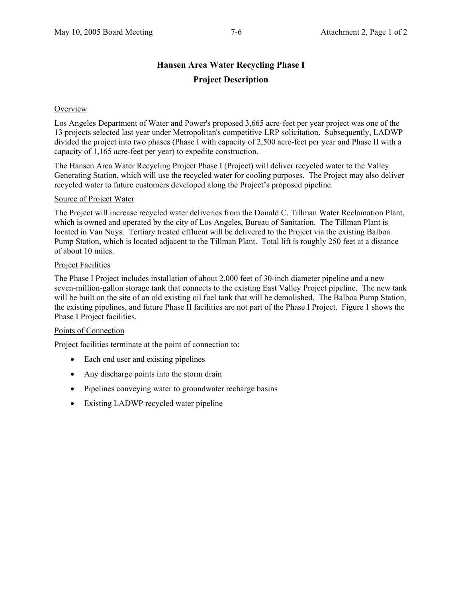# **Hansen Area Water Recycling Phase I Project Description**

### **Overview**

Los Angeles Department of Water and Power's proposed 3,665 acre-feet per year project was one of the 13 projects selected last year under Metropolitan's competitive LRP solicitation. Subsequently, LADWP divided the project into two phases (Phase I with capacity of 2,500 acre-feet per year and Phase II with a capacity of 1,165 acre-feet per year) to expedite construction.

The Hansen Area Water Recycling Project Phase I (Project) will deliver recycled water to the Valley Generating Station, which will use the recycled water for cooling purposes. The Project may also deliver recycled water to future customers developed along the Project's proposed pipeline.

#### Source of Project Water

The Project will increase recycled water deliveries from the Donald C. Tillman Water Reclamation Plant, which is owned and operated by the city of Los Angeles, Bureau of Sanitation. The Tillman Plant is located in Van Nuys. Tertiary treated effluent will be delivered to the Project via the existing Balboa Pump Station, which is located adjacent to the Tillman Plant. Total lift is roughly 250 feet at a distance of about 10 miles.

### **Project Facilities**

The Phase I Project includes installation of about 2,000 feet of 30-inch diameter pipeline and a new seven-million-gallon storage tank that connects to the existing East Valley Project pipeline. The new tank will be built on the site of an old existing oil fuel tank that will be demolished. The Balboa Pump Station, the existing pipelines, and future Phase II facilities are not part of the Phase I Project. Figure 1 shows the Phase I Project facilities.

### Points of Connection

Project facilities terminate at the point of connection to:

- Each end user and existing pipelines
- Any discharge points into the storm drain
- Pipelines conveying water to groundwater recharge basins
- Existing LADWP recycled water pipeline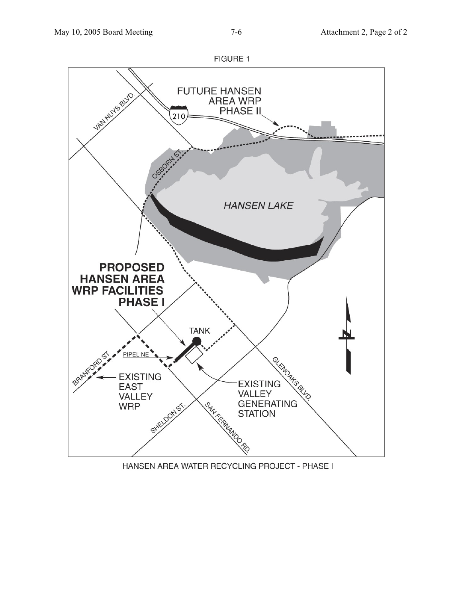

HANSEN AREA WATER RECYCLING PROJECT - PHASE I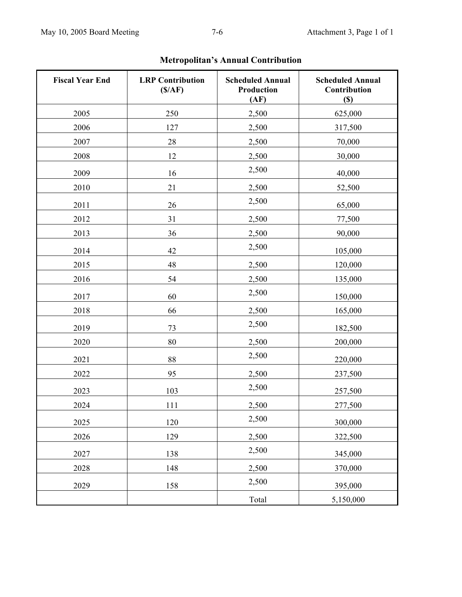| <b>Fiscal Year End</b> | <b>LRP</b> Contribution<br>(S/AF) | <b>Scheduled Annual</b><br>Production<br>(AF) | <b>Scheduled Annual</b><br>Contribution<br>$(\$)$ |  |
|------------------------|-----------------------------------|-----------------------------------------------|---------------------------------------------------|--|
| 2005                   | 250                               | 2,500                                         | 625,000                                           |  |
| 2006                   | 127                               | 2,500                                         | 317,500                                           |  |
| 2007                   | 28                                | 2,500                                         | 70,000                                            |  |
| 2008                   | 12                                | 2,500                                         | 30,000                                            |  |
| 2009                   | 16                                | 2,500                                         | 40,000                                            |  |
| 2010                   | 21                                | 2,500                                         | 52,500                                            |  |
| 2011                   | 26                                | 2,500                                         | 65,000                                            |  |
| 2012                   | 31                                | 2,500                                         | 77,500                                            |  |
| 2013                   | 36                                | 2,500                                         | 90,000                                            |  |
| 2014                   | 42                                | 2,500                                         | 105,000                                           |  |
| 2015                   | 48                                | 2,500                                         | 120,000                                           |  |
| 2016                   | 54                                | 2,500                                         | 135,000                                           |  |
| 2017                   | 60                                | 2,500                                         | 150,000                                           |  |
| 2018                   | 66                                | 2,500                                         | 165,000                                           |  |
| 2019                   | 73                                | 2,500                                         | 182,500                                           |  |
| 2020                   | 80                                | 2,500                                         | 200,000                                           |  |
| 2021                   | 88                                | 2,500                                         | 220,000                                           |  |
| 2022                   | 95                                | 2,500                                         | 237,500                                           |  |
| 2023                   | 103                               | 2,500                                         | 257,500                                           |  |
| 2024                   | 111                               | 2,500                                         | 277,500                                           |  |
| 2025                   | 120                               | 2,500                                         | 300,000                                           |  |
| 2026                   | 129                               | 2,500                                         | 322,500                                           |  |
| 2027                   | 138                               | 2,500                                         | 345,000                                           |  |
| 2028                   | 148                               | 2,500                                         | 370,000                                           |  |
| 2029                   | 158                               | 2,500                                         | 395,000                                           |  |
|                        |                                   | Total                                         | 5,150,000                                         |  |

# **Metropolitan's Annual Contribution**